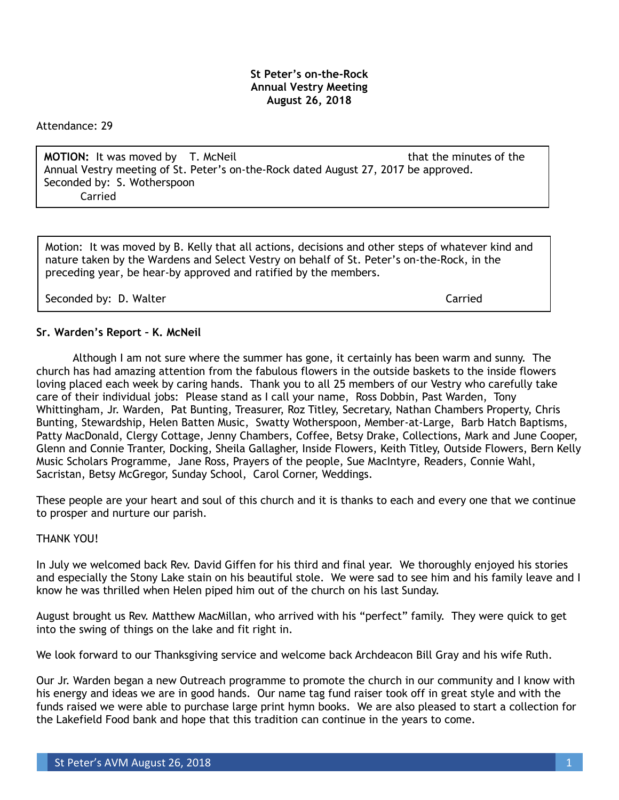#### **St Peter's on-the-Rock Annual Vestry Meeting August 26, 2018**

Attendance: 29

**MOTION:** It was moved by T. McNeil that the minutes of the minutes of the Annual Vestry meeting of St. Peter's on-the-Rock dated August 27, 2017 be approved. Seconded by: S. Wotherspoon Carried

Motion: It was moved by B. Kelly that all actions, decisions and other steps of whatever kind and nature taken by the Wardens and Select Vestry on behalf of St. Peter's on-the-Rock, in the preceding year, be hear-by approved and ratified by the members.

Seconded by: D. Walter Carried Carried Carried Carried Carried Carried Carried Carried Carried Carried Carried

#### **Sr. Warden's Report – K. McNeil**

 Although I am not sure where the summer has gone, it certainly has been warm and sunny. The church has had amazing attention from the fabulous flowers in the outside baskets to the inside flowers loving placed each week by caring hands. Thank you to all 25 members of our Vestry who carefully take care of their individual jobs: Please stand as I call your name, Ross Dobbin, Past Warden, Tony Whittingham, Jr. Warden, Pat Bunting, Treasurer, Roz Titley, Secretary, Nathan Chambers Property, Chris Bunting, Stewardship, Helen Batten Music, Swatty Wotherspoon, Member-at-Large, Barb Hatch Baptisms, Patty MacDonald, Clergy Cottage, Jenny Chambers, Coffee, Betsy Drake, Collections, Mark and June Cooper, Glenn and Connie Tranter, Docking, Sheila Gallagher, Inside Flowers, Keith Titley, Outside Flowers, Bern Kelly Music Scholars Programme, Jane Ross, Prayers of the people, Sue MacIntyre, Readers, Connie Wahl, Sacristan, Betsy McGregor, Sunday School, Carol Corner, Weddings.

These people are your heart and soul of this church and it is thanks to each and every one that we continue to prosper and nurture our parish.

#### THANK YOU!

In July we welcomed back Rev. David Giffen for his third and final year. We thoroughly enjoyed his stories and especially the Stony Lake stain on his beautiful stole. We were sad to see him and his family leave and I know he was thrilled when Helen piped him out of the church on his last Sunday.

August brought us Rev. Matthew MacMillan, who arrived with his "perfect" family. They were quick to get into the swing of things on the lake and fit right in.

We look forward to our Thanksgiving service and welcome back Archdeacon Bill Gray and his wife Ruth.

Our Jr. Warden began a new Outreach programme to promote the church in our community and I know with his energy and ideas we are in good hands. Our name tag fund raiser took off in great style and with the funds raised we were able to purchase large print hymn books. We are also pleased to start a collection for the Lakefield Food bank and hope that this tradition can continue in the years to come.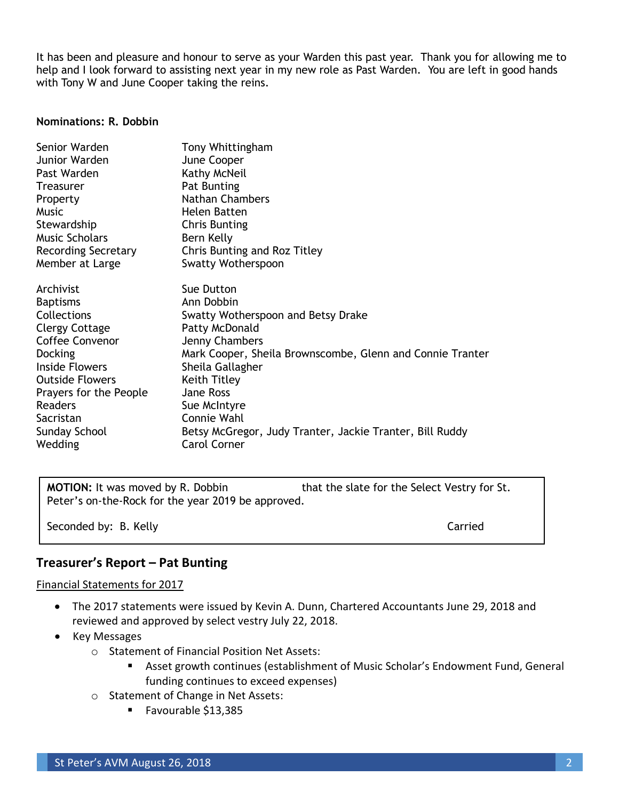It has been and pleasure and honour to serve as your Warden this past year. Thank you for allowing me to help and I look forward to assisting next year in my new role as Past Warden. You are left in good hands with Tony W and June Cooper taking the reins.

#### **Nominations: R. Dobbin**

| Mark Cooper, Sheila Brownscombe, Glenn and Connie Tranter |
|-----------------------------------------------------------|
|                                                           |
|                                                           |
|                                                           |
|                                                           |
|                                                           |
|                                                           |
| Betsy McGregor, Judy Tranter, Jackie Tranter, Bill Ruddy  |
|                                                           |

**MOTION:** It was moved by R. Dobbin that the slate for the Select Vestry for St. Peter's on-the-Rock for the year 2019 be approved.

Seconded by: B. Kelly Carried Carried

# **Treasurer's Report – Pat Bunting**

#### Financial Statements for 2017

- The 2017 statements were issued by Kevin A. Dunn, Chartered Accountants June 29, 2018 and reviewed and approved by select vestry July 22, 2018.
- Key Messages
	- o Statement of Financial Position Net Assets:
		- Asset growth continues (establishment of Music Scholar's Endowment Fund, General funding continues to exceed expenses)
	- o Statement of Change in Net Assets:
		- Favourable \$13,385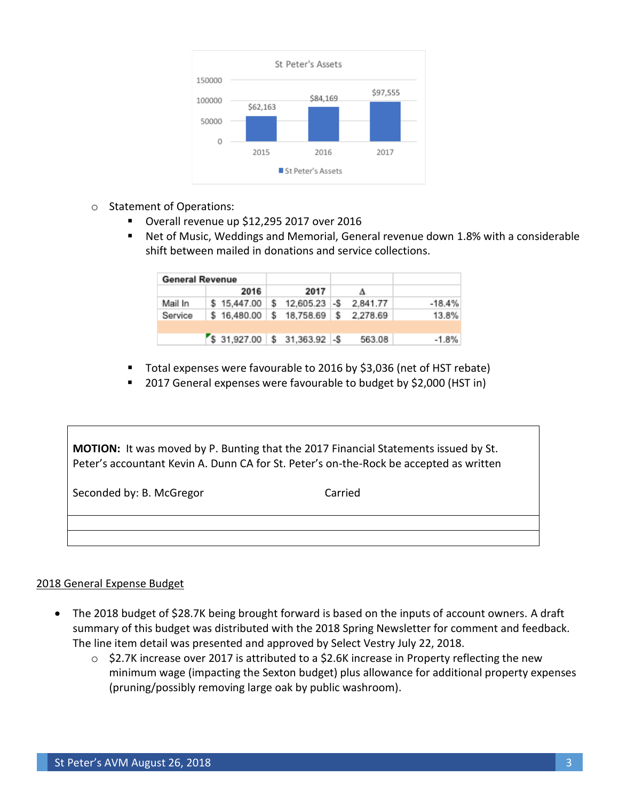

- o Statement of Operations:
	- Overall revenue up \$12,295 2017 over 2016
	- Net of Music, Weddings and Memorial, General revenue down 1.8% with a considerable shift between mailed in donations and service collections.

| <b>General Revenue</b> |                                                   |      |          |          |
|------------------------|---------------------------------------------------|------|----------|----------|
|                        | 2016                                              | 2017 |          |          |
| Mail In                | $$15,447.00 \;   \; $12,605.23 \;   \; $$$        |      | 2.841.77 | $-18.4%$ |
| Service                | $$16,480.00 \;   \; $18,758.69 \;   \; $2,278.69$ |      |          | 13.8%    |
|                        |                                                   |      |          |          |
|                        | $$31,927.00 \;   \; $31,363.92 \;   \; $$$        |      | 563.08   | $-1.8%$  |

- Total expenses were favourable to 2016 by \$3,036 (net of HST rebate)
- 2017 General expenses were favourable to budget by \$2,000 (HST in)

| <b>MOTION:</b> It was moved by P. Bunting that the 2017 Financial Statements issued by St.<br>Peter's accountant Kevin A. Dunn CA for St. Peter's on-the-Rock be accepted as written |         |  |  |  |  |  |  |  |
|--------------------------------------------------------------------------------------------------------------------------------------------------------------------------------------|---------|--|--|--|--|--|--|--|
| Seconded by: B. McGregor                                                                                                                                                             | Carried |  |  |  |  |  |  |  |
|                                                                                                                                                                                      |         |  |  |  |  |  |  |  |

#### 2018 General Expense Budget

- The 2018 budget of \$28.7K being brought forward is based on the inputs of account owners. A draft summary of this budget was distributed with the 2018 Spring Newsletter for comment and feedback. The line item detail was presented and approved by Select Vestry July 22, 2018.
	- o \$2.7K increase over 2017 is attributed to a \$2.6K increase in Property reflecting the new minimum wage (impacting the Sexton budget) plus allowance for additional property expenses (pruning/possibly removing large oak by public washroom).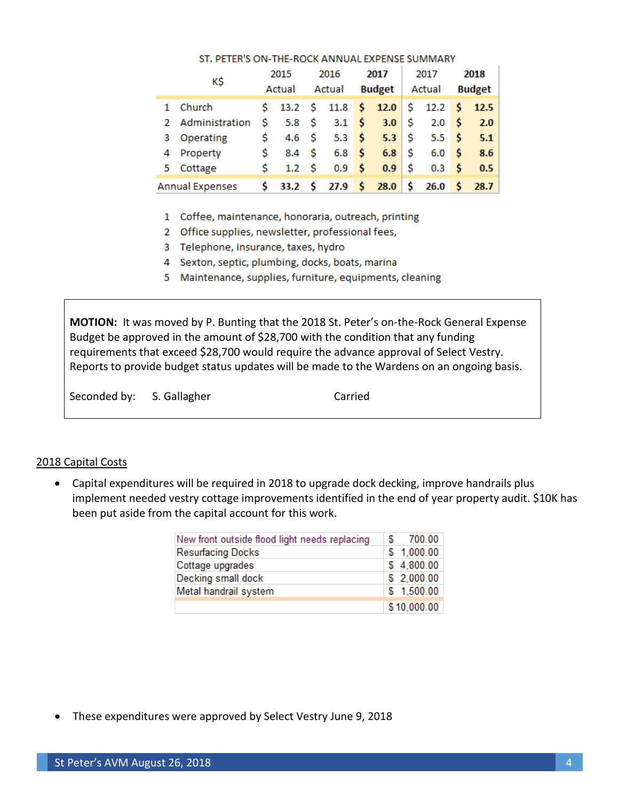|  | ΚŚ                     |    | 2015             |  | 2016             |  | 2017                                                                                           |    | 2017                   |      | 2018          |  |
|--|------------------------|----|------------------|--|------------------|--|------------------------------------------------------------------------------------------------|----|------------------------|------|---------------|--|
|  |                        |    | Actual           |  | Actual           |  |                                                                                                |    | <b>Budget</b>   Actual |      | <b>Budget</b> |  |
|  | 1 Church               |    |                  |  |                  |  | $\frac{1}{2}$ 13.2 $\frac{1}{2}$ 11.8 $\frac{1}{2}$ 12.0 $\frac{1}{2}$ 12.2 $\frac{1}{2}$ 12.5 |    |                        |      |               |  |
|  | 2 Administration       | S. | 5.8 $\sim$       |  |                  |  | 3.1 \$ 3.0 \$                                                                                  |    | 2.0 <sup>5</sup>       |      | 2.0           |  |
|  | 3 Operating            | S. | $4.6-5$          |  |                  |  | 5.3 \$ 5.3 \$                                                                                  |    | $5.5\quad$ \$          |      | 5.1           |  |
|  | 4 Property             | S. | 8.4 S            |  | 6.8 <sup>5</sup> |  | $6.8$ \ \$                                                                                     |    | 6.0                    | ∣ \$ | 8.6           |  |
|  | 5 Cottage              | S. | 1.2 <sub>5</sub> |  | 0.9 <sup>5</sup> |  | 0.9                                                                                            | ۱s | 0.3 <sup>5</sup>       |      | 0.5           |  |
|  | <b>Annual Expenses</b> |    |                  |  |                  |  | $\frac{1}{5}$ 33.2 $\frac{1}{5}$ 27.9 $\frac{1}{5}$ 28.0 $\frac{1}{5}$ 26.0 $\frac{1}{5}$      |    |                        |      | 28.7          |  |

#### ST. PETER'S ON-THE-ROCK ANNUAL EXPENSE SUMMARY

- 1 Coffee, maintenance, honoraria, outreach, printing
- 2 Office supplies, newsletter, professional fees,
- 3 Telephone, insurance, taxes, hydro
- 4 Sexton, septic, plumbing, docks, boats, marina
- 5 Maintenance, supplies, furniture, equipments, cleaning

**MOTION:** It was moved by P. Bunting that the 2018 St. Peter's on-the-Rock General Expense Budget be approved in the amount of \$28,700 with the condition that any funding requirements that exceed \$28,700 would require the advance approval of Select Vestry. Reports to provide budget status updates will be made to the Wardens on an ongoing basis.

Seconded by: S. Gallagher Carried

#### 2018 Capital Costs

• Capital expenditures will be required in 2018 to upgrade dock decking, improve handrails plus implement needed vestry cottage improvements identified in the end of year property audit. \$10K has been put aside from the capital account for this work.

| New front outside flood light needs replacing | 700.00      |
|-----------------------------------------------|-------------|
| <b>Resurfacing Docks</b>                      | \$1,000.00  |
| Cottage upgrades                              | \$4,800.00  |
| Decking small dock                            | \$2,000.00  |
| Metal handrail system                         | \$1,500.00  |
|                                               | \$10,000.00 |

• These expenditures were approved by Select Vestry June 9, 2018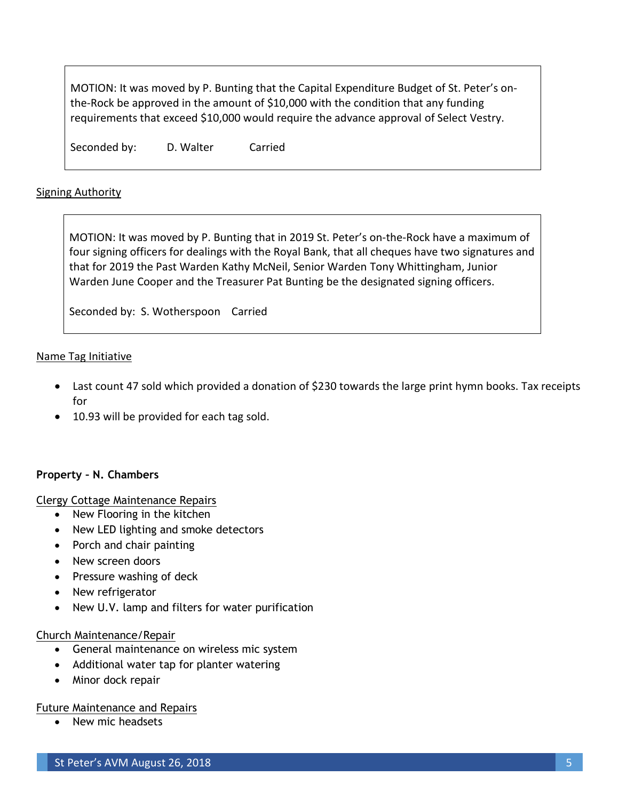MOTION: It was moved by P. Bunting that the Capital Expenditure Budget of St. Peter's onthe-Rock be approved in the amount of \$10,000 with the condition that any funding requirements that exceed \$10,000 would require the advance approval of Select Vestry.

Seconded by: D. Walter Carried

### Signing Authority

MOTION: It was moved by P. Bunting that in 2019 St. Peter's on-the-Rock have a maximum of four signing officers for dealings with the Royal Bank, that all cheques have two signatures and that for 2019 the Past Warden Kathy McNeil, Senior Warden Tony Whittingham, Junior Warden June Cooper and the Treasurer Pat Bunting be the designated signing officers.

Seconded by: S. Wotherspoon Carried

### Name Tag Initiative

- Last count 47 sold which provided a donation of \$230 towards the large print hymn books. Tax receipts for
- 10.93 will be provided for each tag sold.

### **Property – N. Chambers**

Clergy Cottage Maintenance Repairs

- New Flooring in the kitchen
- New LED lighting and smoke detectors
- Porch and chair painting
- New screen doors
- Pressure washing of deck
- New refrigerator
- New U.V. lamp and filters for water purification

### Church Maintenance/Repair

- General maintenance on wireless mic system
- Additional water tap for planter watering
- Minor dock repair

### Future Maintenance and Repairs

• New mic headsets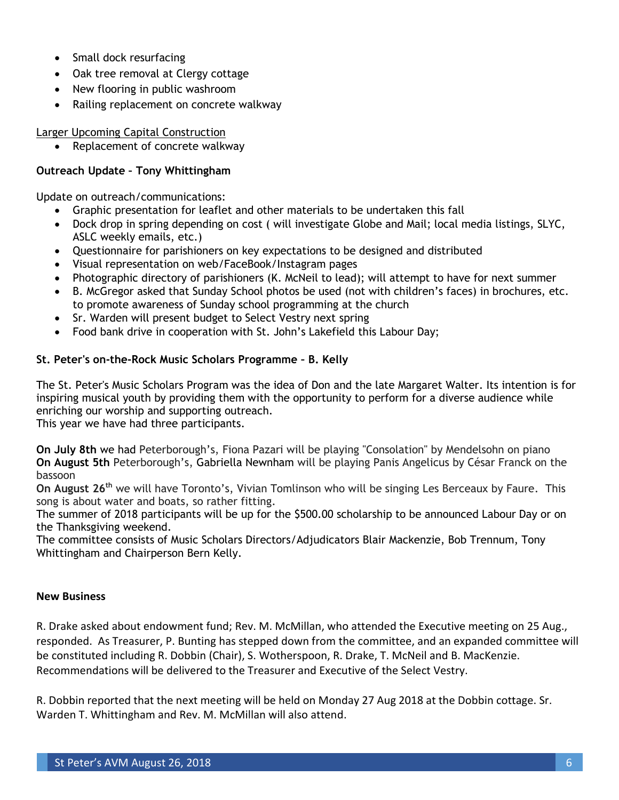- Small dock resurfacing
- Oak tree removal at Clergy cottage
- New flooring in public washroom
- Railing replacement on concrete walkway

Larger Upcoming Capital Construction

Replacement of concrete walkway

# **Outreach Update – Tony Whittingham**

Update on outreach/communications:

- Graphic presentation for leaflet and other materials to be undertaken this fall
- Dock drop in spring depending on cost ( will investigate Globe and Mail; local media listings, SLYC, ASLC weekly emails, etc.)
- Questionnaire for parishioners on key expectations to be designed and distributed
- Visual representation on web/FaceBook/Instagram pages
- Photographic directory of parishioners (K. McNeil to lead); will attempt to have for next summer
- B. McGregor asked that Sunday School photos be used (not with children's faces) in brochures, etc. to promote awareness of Sunday school programming at the church
- Sr. Warden will present budget to Select Vestry next spring
- Food bank drive in cooperation with St. John's Lakefield this Labour Day;

## **St. Peter's on-the-Rock Music Scholars Programme – B. Kelly**

The St. Peter's Music Scholars Program was the idea of Don and the late Margaret Walter. Its intention is for inspiring musical youth by providing them with the opportunity to perform for a diverse audience while enriching our worship and supporting outreach.

This year we have had three participants.

**On July 8th** we had Peterborough's, Fiona Pazari will be playing "Consolation" by Mendelsohn on piano **On August 5th** Peterborough's, Gabriella Newnham will be playing Panis Angelicus by César Franck on the bassoon

**On August 26th** we will have Toronto's, Vivian Tomlinson who will be singing Les Berceaux by Faure. This song is about water and boats, so rather fitting.

The summer of 2018 participants will be up for the \$500.00 scholarship to be announced Labour Day or on the Thanksgiving weekend.

The committee consists of Music Scholars Directors/Adjudicators Blair Mackenzie, Bob Trennum, Tony Whittingham and Chairperson Bern Kelly.

### **New Business**

R. Drake asked about endowment fund; Rev. M. McMillan, who attended the Executive meeting on 25 Aug., responded. As Treasurer, P. Bunting has stepped down from the committee, and an expanded committee will be constituted including R. Dobbin (Chair), S. Wotherspoon, R. Drake, T. McNeil and B. MacKenzie. Recommendations will be delivered to the Treasurer and Executive of the Select Vestry.

R. Dobbin reported that the next meeting will be held on Monday 27 Aug 2018 at the Dobbin cottage. Sr. Warden T. Whittingham and Rev. M. McMillan will also attend.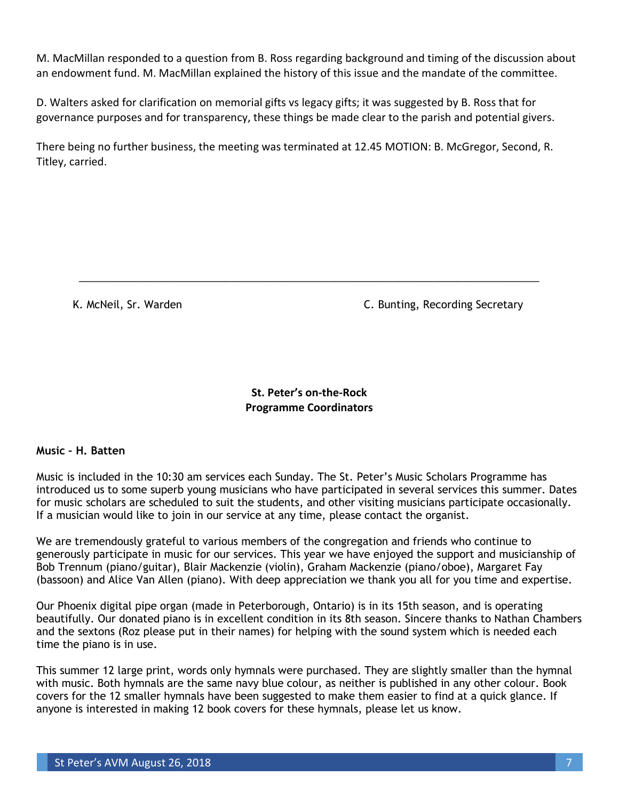M. MacMillan responded to a question from B. Ross regarding background and timing of the discussion about an endowment fund. M. MacMillan explained the history of this issue and the mandate of the committee.

D. Walters asked for clarification on memorial gifts vs legacy gifts; it was suggested by B. Ross that for governance purposes and for transparency, these things be made clear to the parish and potential givers.

There being no further business, the meeting was terminated at 12.45 MOTION: B. McGregor, Second, R. Titley, carried.

K. McNeil, Sr. Warden C. Bunting, Recording Secretary

**St. Peter's on-the-Rock Programme Coordinators**

\_\_\_\_\_\_\_\_\_\_\_\_\_\_\_\_\_\_\_\_\_\_\_\_\_\_\_\_\_\_\_\_\_\_\_\_\_\_\_\_\_\_\_\_\_\_\_\_\_\_\_\_\_\_\_\_\_\_\_\_\_\_\_\_\_\_\_\_\_\_\_\_\_\_\_\_\_\_\_

### **Music – H. Batten**

Music is included in the 10:30 am services each Sunday. The St. Peter's Music Scholars Programme has introduced us to some superb young musicians who have participated in several services this summer. Dates for music scholars are scheduled to suit the students, and other visiting musicians participate occasionally. If a musician would like to join in our service at any time, please contact the organist.

We are tremendously grateful to various members of the congregation and friends who continue to generously participate in music for our services. This year we have enjoyed the support and musicianship of Bob Trennum (piano/guitar), Blair Mackenzie (violin), Graham Mackenzie (piano/oboe), Margaret Fay (bassoon) and Alice Van Allen (piano). With deep appreciation we thank you all for you time and expertise.

Our Phoenix digital pipe organ (made in Peterborough, Ontario) is in its 15th season, and is operating beautifully. Our donated piano is in excellent condition in its 8th season. Sincere thanks to Nathan Chambers and the sextons (Roz please put in their names) for helping with the sound system which is needed each time the piano is in use.

This summer 12 large print, words only hymnals were purchased. They are slightly smaller than the hymnal with music. Both hymnals are the same navy blue colour, as neither is published in any other colour. Book covers for the 12 smaller hymnals have been suggested to make them easier to find at a quick glance. If anyone is interested in making 12 book covers for these hymnals, please let us know.